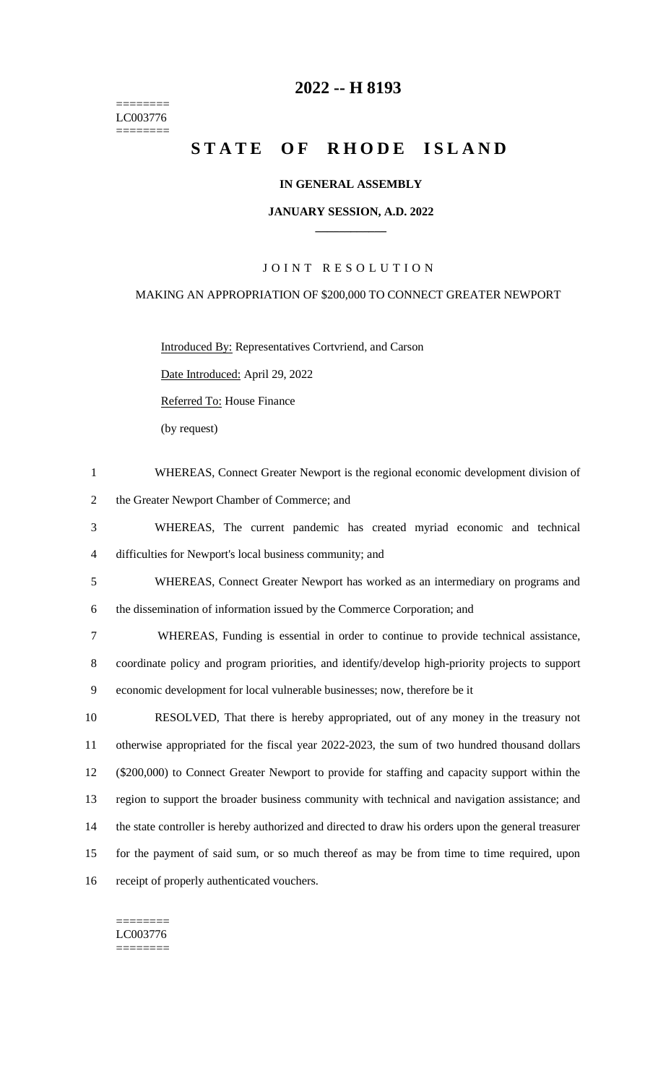======== LC003776  $=$ 

# **2022 -- H 8193**

# STATE OF RHODE ISLAND

### **IN GENERAL ASSEMBLY**

#### **JANUARY SESSION, A.D. 2022 \_\_\_\_\_\_\_\_\_\_\_\_**

## JOINT RESOLUTION

#### MAKING AN APPROPRIATION OF \$200,000 TO CONNECT GREATER NEWPORT

Introduced By: Representatives Cortvriend, and Carson

Date Introduced: April 29, 2022

Referred To: House Finance

(by request)

| $\mathbf{1}$   | WHEREAS, Connect Greater Newport is the regional economic development division of                    |
|----------------|------------------------------------------------------------------------------------------------------|
| $\overline{2}$ | the Greater Newport Chamber of Commerce; and                                                         |
| 3              | WHEREAS, The current pandemic has created myriad economic and technical                              |
| 4              | difficulties for Newport's local business community; and                                             |
| 5              | WHEREAS, Connect Greater Newport has worked as an intermediary on programs and                       |
| 6              | the dissemination of information issued by the Commerce Corporation; and                             |
| $\tau$         | WHEREAS, Funding is essential in order to continue to provide technical assistance,                  |
| 8              | coordinate policy and program priorities, and identify/develop high-priority projects to support     |
| 9              | economic development for local vulnerable businesses; now, therefore be it                           |
| 10             | RESOLVED, That there is hereby appropriated, out of any money in the treasury not                    |
| 11             | otherwise appropriated for the fiscal year 2022-2023, the sum of two hundred thousand dollars        |
| 12             | (\$200,000) to Connect Greater Newport to provide for staffing and capacity support within the       |
| 13             | region to support the broader business community with technical and navigation assistance; and       |
| 14             | the state controller is hereby authorized and directed to draw his orders upon the general treasurer |
| 15             | for the payment of said sum, or so much thereof as may be from time to time required, upon           |
| 16             | receipt of properly authenticated vouchers.                                                          |

#### ======== LC003776

 $=$